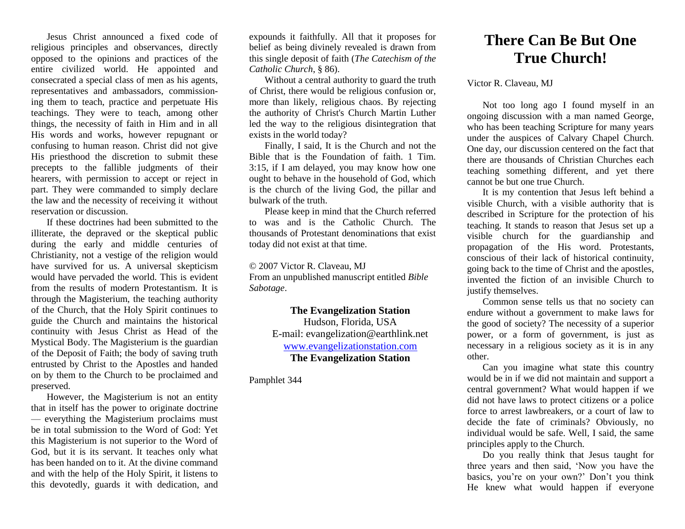Jesus Christ announced a fixed code of religious principles and observances, directly opposed to the opinions and practices of the entire civilized world. He appointed and consecrated a special class of men as his agents, representatives and ambassadors, commissioning them to teach, practice and perpetuate His teachings. They were to teach, among other things, the necessity of faith in Him and in all His words and works, however repugnant or confusing to human reason. Christ did not give His priesthood the discretion to submit these precepts to the fallible judgments of their hearers, with permission to accept or reject in part. They were commanded to simply declare the law and the necessity of receiving it without reservation or discussion.

If these doctrines had been submitted to the illiterate, the depraved or the skeptical public during the early and middle centuries of Christianity, not a vestige of the religion would have survived for us. A universal skepticism would have pervaded the world. This is evident from the results of modern Protestantism. It is through the Magisterium, the teaching authority of the Church, that the Holy Spirit continues to guide the Church and maintains the historical continuity with Jesus Christ as Head of the Mystical Body. The Magisterium is the guardian of the Deposit of Faith; the body of saving truth entrusted by Christ to the Apostles and handed on by them to the Church to be proclaimed and preserved.

However, the Magisterium is not an entity that in itself has the power to originate doctrine — everything the Magisterium proclaims must be in total submission to the Word of God: Yet this Magisterium is not superior to the Word of God, but it is its servant. It teaches only what has been handed on to it. At the divine command and with the help of the Holy Spirit, it listens to this devotedly, guards it with dedication, and

expounds it faithfully. All that it proposes for belief as being divinely revealed is drawn from this single deposit of faith (*The Catechism of the Catholic Church*, § 86).

Without a central authority to guard the truth of Christ, there would be religious confusion or, more than likely, religious chaos. By rejecting the authority of Christ's Church Martin Luther led the way to the religious disintegration that exists in the world today?

Finally, I said, It is the Church and not the Bible that is the Foundation of faith. 1 Tim. 3:15, if I am delayed, you may know how one ought to behave in the household of God, which is the church of the living God, the pillar and bulwark of the truth.

Please keep in mind that the Church referred to was and is the Catholic Church. The thousands of Protestant denominations that exist today did not exist at that time.

© 2007 Victor R. Claveau, MJ From an unpublished manuscript entitled *Bible Sabotage*.

> **The Evangelization Station**  Hudson, Florida, USA E-mail: evangelization@earthlink.net [www.evangelizationstation.com](http://www.pjpiisoe.org/) **The Evangelization Station**

Pamphlet 344

## **There Can Be But One True Church!**

Victor R. Claveau, MJ

Not too long ago I found myself in an ongoing discussion with a man named George, who has been teaching Scripture for many years under the auspices of Calvary Chapel Church. One day, our discussion centered on the fact that there are thousands of Christian Churches each teaching something different, and yet there cannot be but one true Church.

It is my contention that Jesus left behind a visible Church, with a visible authority that is described in Scripture for the protection of his teaching. It stands to reason that Jesus set up a visible church for the guardianship and propagation of the His word. Protestants, conscious of their lack of historical continuity, going back to the time of Christ and the apostles, invented the fiction of an invisible Church to justify themselves.

Common sense tells us that no society can endure without a government to make laws for the good of society? The necessity of a superior power, or a form of government, is just as necessary in a religious society as it is in any other.

Can you imagine what state this country would be in if we did not maintain and support a central government? What would happen if we did not have laws to protect citizens or a police force to arrest lawbreakers, or a court of law to decide the fate of criminals? Obviously, no individual would be safe. Well, I said, the same principles apply to the Church.

Do you really think that Jesus taught for three years and then said, 'Now you have the basics, you're on your own?' Don't you think He knew what would happen if everyone